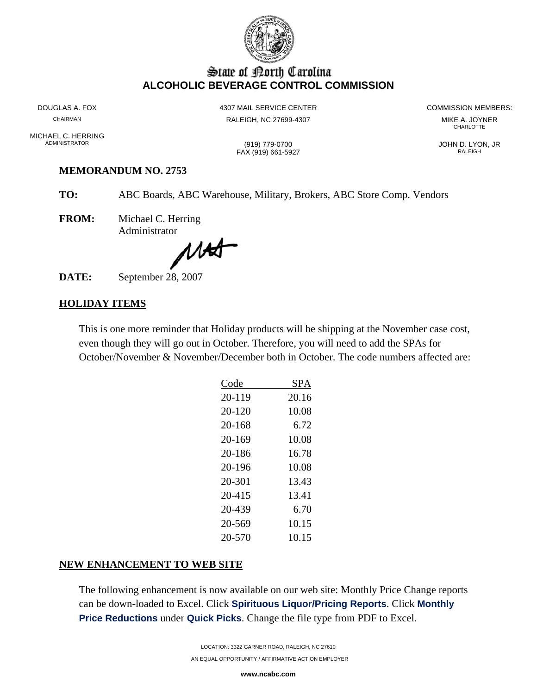

# State of Borth Carolina **ALCOHOLIC BEVERAGE CONTROL COMMISSION**

DOUGLAS A. FOX CHAIRMAN

MICHAEL C. HERRING **ADMINISTRATOR** 

4307 MAIL SERVICE CENTER RALEIGH, NC 27699-4307

(919) 779-0700

FAX (919) 661-5927

**COMMISSION MEMBERS:** 

MIKE A. JOYNER CHARLOTTE

JOHN D. LYON, JR RALEIGH

#### **MEMORANDUM NO. 2753**

TO: ABC Boards, ABC Warehouse, Military, Brokers, ABC Store Comp. Vendors

**FROM:** Michael C. Herring Administrator

MAT

September 28, 2007 DATE:

# **HOLIDAY ITEMS**

This is one more reminder that Holiday products will be shipping at the November case cost, even though they will go out in October. Therefore, you will need to add the SPAs for October/November & November/December both in October. The code numbers affected are:

| Code   | SPA   |
|--------|-------|
| 20-119 | 20.16 |
| 20-120 | 10.08 |
| 20-168 | 6.72  |
| 20-169 | 10.08 |
| 20-186 | 16.78 |
| 20-196 | 10.08 |
| 20-301 | 13.43 |
| 20-415 | 13.41 |
| 20-439 | 6.70  |
| 20-569 | 10.15 |
| 20-570 | 10.15 |
|        |       |

# NEW ENHANCEMENT TO WEB SITE

The following enhancement is now available on our web site: Monthly Price Change reports can be down-loaded to Excel. Click Spirituous Liquor/Pricing Reports. Click Monthly Price Reductions under Quick Picks. Change the file type from PDF to Excel.

www.ncabc.com